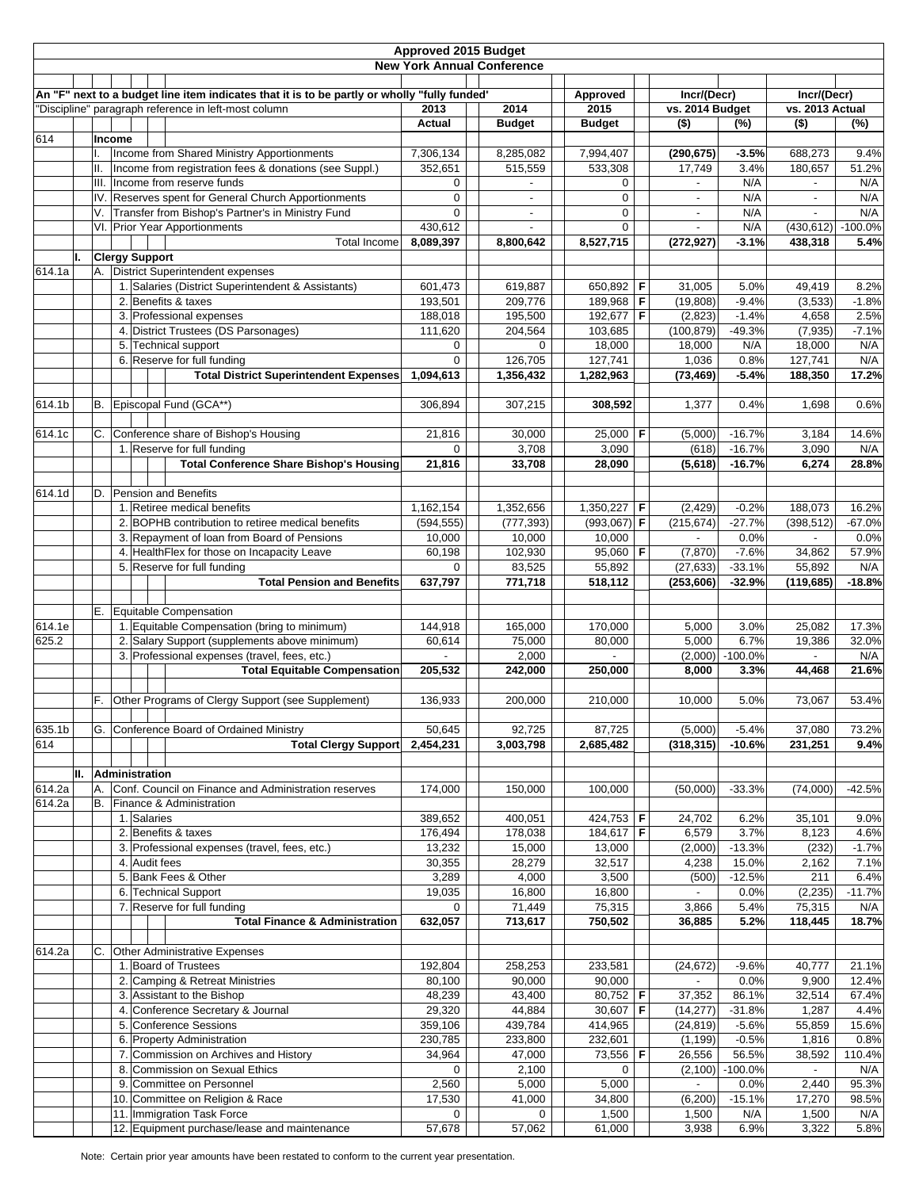| <b>Approved 2015 Budget</b> |                                                                                              |        |                                                                           |                    |                                   |                       |             |                            |                 |                                     |                 |
|-----------------------------|----------------------------------------------------------------------------------------------|--------|---------------------------------------------------------------------------|--------------------|-----------------------------------|-----------------------|-------------|----------------------------|-----------------|-------------------------------------|-----------------|
|                             |                                                                                              |        |                                                                           |                    | <b>New York Annual Conference</b> |                       |             |                            |                 |                                     |                 |
|                             |                                                                                              |        |                                                                           |                    |                                   |                       |             |                            |                 |                                     |                 |
|                             | An "F" next to a budget line item indicates that it is to be partly or wholly "fully funded" |        |                                                                           |                    | Approved                          |                       | Incr/(Decr) |                            | Incr/(Decr)     |                                     |                 |
|                             |                                                                                              |        | "Discipline" paragraph reference in left-most column                      | 2013<br>Actual     | 2014<br><b>Budget</b>             | 2015<br><b>Budget</b> |             | vs. 2014 Budget<br>$($ \$) | (%)             | vs. 2013 Actual<br>$\overline{(*)}$ | (%)             |
| 614                         |                                                                                              | Income |                                                                           |                    |                                   |                       |             |                            |                 |                                     |                 |
|                             |                                                                                              |        | Income from Shared Ministry Apportionments                                | 7,306,134          | 8,285,082                         | 7,994,407             |             | (290, 675)                 | $-3.5%$         | 688,273                             | 9.4%            |
|                             | Ш.                                                                                           |        | Income from registration fees & donations (see Suppl.)                    | 352,651            | 515,559                           | 533,308               |             | 17,749                     | 3.4%            | 180,657                             | 51.2%           |
|                             |                                                                                              |        | III. Income from reserve funds                                            | 0                  | $\overline{\phantom{a}}$          | 0                     |             | $\overline{\phantom{a}}$   | N/A             | $\overline{\phantom{a}}$            | N/A             |
|                             |                                                                                              |        | IV. Reserves spent for General Church Apportionments                      | 0                  |                                   | 0                     |             | $\overline{\phantom{a}}$   | N/A             | $\blacksquare$                      | N/A             |
|                             | V.                                                                                           |        | Transfer from Bishop's Partner's in Ministry Fund                         | $\mathbf 0$        |                                   | 0                     |             |                            | N/A             |                                     | N/A             |
|                             |                                                                                              |        | VI. Prior Year Apportionments                                             | 430,612            | $\sim$                            | 0                     |             |                            | N/A             | (430, 612)                          | $-100.0%$       |
|                             |                                                                                              |        | <b>Total Income</b>                                                       | 8,089,397          | 8,800,642                         | 8,527,715             |             | (272, 927)                 | $-3.1%$         | 438,318                             | 5.4%            |
| II.                         |                                                                                              |        | <b>Clergy Support</b>                                                     |                    |                                   |                       |             |                            |                 |                                     |                 |
| 614.1a                      | А.                                                                                           |        | <b>District Superintendent expenses</b>                                   |                    |                                   |                       |             |                            |                 |                                     |                 |
|                             |                                                                                              |        | 1. Salaries (District Superintendent & Assistants)<br>2. Benefits & taxes | 601,473<br>193,501 | 619,887<br>209,776                | 650,892<br>189,968    | F<br>F      | 31,005<br>(19, 808)        | 5.0%<br>$-9.4%$ | 49,419<br>(3, 533)                  | 8.2%<br>$-1.8%$ |
|                             |                                                                                              |        | 3. Professional expenses                                                  | 188,018            | 195,500                           | 192,677               | F           | (2,823)                    | $-1.4%$         | 4,658                               | 2.5%            |
|                             |                                                                                              |        | 4. District Trustees (DS Parsonages)                                      | 111,620            | 204,564                           | 103,685               |             | (100, 879)                 | $-49.3%$        | (7, 935)                            | $-7.1%$         |
|                             |                                                                                              |        | 5. Technical support                                                      | 0                  | $\mathbf{0}$                      | 18,000                |             | 18,000                     | N/A             | 18,000                              | N/A             |
|                             |                                                                                              |        | 6. Reserve for full funding                                               | 0                  | 126,705                           | 127,741               |             | 1,036                      | 0.8%            | 127,741                             | N/A             |
|                             |                                                                                              |        | <b>Total District Superintendent Expenses</b>                             | 1,094,613          | 1,356,432                         | 1,282,963             |             | (73, 469)                  | $-5.4%$         | 188,350                             | 17.2%           |
|                             |                                                                                              |        |                                                                           |                    |                                   |                       |             |                            |                 |                                     |                 |
| 614.1b                      | В.                                                                                           |        | Episcopal Fund (GCA**)                                                    | 306,894            | 307,215                           | 308,592               |             | 1,377                      | 0.4%            | 1,698                               | 0.6%            |
|                             |                                                                                              |        |                                                                           |                    |                                   |                       |             |                            |                 |                                     |                 |
| 614.1c                      | C.                                                                                           |        | Conference share of Bishop's Housing                                      | 21,816             | 30,000                            | 25,000 F              |             | (5,000)                    | $-16.7%$        | 3,184                               | 14.6%           |
|                             |                                                                                              |        | 1. Reserve for full funding                                               | 0                  | 3,708                             | 3,090                 |             | (618)                      | $-16.7%$        | 3,090                               | N/A             |
|                             |                                                                                              |        | <b>Total Conference Share Bishop's Housing</b>                            | 21,816             | 33,708                            | 28,090                |             | (5,618)                    | $-16.7%$        | 6,274                               | 28.8%           |
|                             | D.                                                                                           |        | Pension and Benefits                                                      |                    |                                   |                       |             |                            |                 |                                     |                 |
| 614.1d                      |                                                                                              |        | 1. Retiree medical benefits                                               | 1,162,154          | 1,352,656                         | 1,350,227             | F           | (2, 429)                   | $-0.2%$         | 188,073                             | 16.2%           |
|                             |                                                                                              |        | 2. BOPHB contribution to retiree medical benefits                         | (594, 555)         | (777, 393)                        | $(993,067)$ F         |             | (215, 674)                 | $-27.7%$        | (398, 512)                          | $-67.0%$        |
|                             |                                                                                              |        | 3. Repayment of loan from Board of Pensions                               | 10,000             | 10,000                            | 10,000                |             |                            | 0.0%            |                                     | 0.0%            |
|                             |                                                                                              |        | 4. HealthFlex for those on Incapacity Leave                               | 60,198             | 102,930                           | $95,060$ F            |             | (7, 870)                   | $-7.6%$         | 34,862                              | 57.9%           |
|                             |                                                                                              |        | 5. Reserve for full funding                                               | 0                  | 83,525                            | 55,892                |             | (27, 633)                  | $-33.1%$        | 55,892                              | N/A             |
|                             |                                                                                              |        | <b>Total Pension and Benefits</b>                                         | 637,797            | 771,718                           | 518,112               |             | (253, 606)                 | $-32.9%$        | (119, 685)                          | $-18.8%$        |
|                             |                                                                                              |        |                                                                           |                    |                                   |                       |             |                            |                 |                                     |                 |
|                             |                                                                                              |        | E. Equitable Compensation                                                 |                    |                                   |                       |             |                            |                 |                                     |                 |
| 614.1e                      |                                                                                              |        | 1. Equitable Compensation (bring to minimum)                              | 144,918            | 165,000                           | 170,000               |             | 5,000                      | 3.0%            | 25,082                              | 17.3%           |
| 625.2                       |                                                                                              |        | 2. Salary Support (supplements above minimum)                             | 60,614             | 75,000                            | 80,000                |             | 5,000                      | 6.7%            | 19,386                              | 32.0%           |
|                             |                                                                                              |        | 3. Professional expenses (travel, fees, etc.)                             | $\blacksquare$     | 2,000                             |                       |             | (2,000)                    | $-100.0%$       |                                     | N/A             |
|                             |                                                                                              |        | <b>Total Equitable Compensation</b>                                       | 205,532            | 242,000                           | 250,000               |             | 8,000                      | 3.3%            | 44,468                              | 21.6%           |
|                             | F.                                                                                           |        | Other Programs of Clergy Support (see Supplement)                         | 136,933            |                                   |                       |             |                            | 5.0%            |                                     | 53.4%           |
|                             |                                                                                              |        |                                                                           |                    | 200,000                           | 210,000               |             | 10,000                     |                 | 73,067                              |                 |
| 635.1b                      | G.                                                                                           |        | Conference Board of Ordained Ministry                                     | 50,645             | 92,725                            | 87,725                |             | (5,000)                    | $-5.4%$         | 37,080                              | 73.2%           |
| 614                         |                                                                                              |        | <b>Total Clergy Support</b>                                               | 2,454,231          | 3,003,798                         | 2,685,482             |             | (318, 315)                 | $-10.6%$        | 231,251                             | 9.4%            |
|                             |                                                                                              |        |                                                                           |                    |                                   |                       |             |                            |                 |                                     |                 |
| II.                         |                                                                                              |        | <b>Administration</b>                                                     |                    |                                   |                       |             |                            |                 |                                     |                 |
| 614.2a                      | Α.                                                                                           |        | Conf. Council on Finance and Administration reserves                      | 174,000            | 150,000                           | 100,000               |             | (50,000)                   | $-33.3%$        | (74,000)                            | $-42.5%$        |
| 614.2a                      | В.                                                                                           |        | Finance & Administration                                                  |                    |                                   |                       |             |                            |                 |                                     |                 |
|                             |                                                                                              |        | 1. Salaries                                                               | 389,652            | 400,051                           | 424,753 F             |             | 24,702                     | 6.2%            | 35,101                              | 9.0%            |
|                             |                                                                                              |        | 2. Benefits & taxes                                                       | 176,494            | 178,038                           | 184,617 F             |             | 6,579                      | 3.7%            | 8,123                               | 4.6%            |
|                             |                                                                                              |        | 3. Professional expenses (travel, fees, etc.)                             | 13,232             | 15,000                            | 13,000                |             | (2,000)                    | $-13.3%$        | (232)                               | $-1.7%$         |
|                             |                                                                                              |        | 4. Audit fees                                                             | 30,355             | 28,279                            | 32,517                |             | 4,238                      | 15.0%           | 2,162                               | 7.1%            |
|                             |                                                                                              |        | 5. Bank Fees & Other                                                      | 3,289              | 4,000                             | 3,500                 |             | (500)                      | $-12.5%$        | 211                                 | 6.4%            |
|                             |                                                                                              |        | 6. Technical Support                                                      | 19,035             | 16,800                            | 16,800                |             |                            | 0.0%            | (2, 235)                            | $-11.7%$        |
|                             |                                                                                              |        | 7. Reserve for full funding<br><b>Total Finance &amp; Administration</b>  | 0<br>632,057       | 71,449<br>713,617                 | 75,315<br>750,502     |             | 3,866                      | 5.4%<br>5.2%    | 75,315<br>118,445                   | N/A<br>18.7%    |
|                             |                                                                                              |        |                                                                           |                    |                                   |                       |             | 36,885                     |                 |                                     |                 |
| 614.2a                      | C.                                                                                           |        | <b>Other Administrative Expenses</b>                                      |                    |                                   |                       |             |                            |                 |                                     |                 |
|                             |                                                                                              |        | 1. Board of Trustees                                                      | 192,804            | 258,253                           | 233,581               |             | (24, 672)                  | $-9.6%$         | 40,777                              | 21.1%           |
|                             |                                                                                              |        | 2. Camping & Retreat Ministries                                           | 80,100             | 90,000                            | 90,000                |             | $\overline{\phantom{a}}$   | 0.0%            | 9,900                               | 12.4%           |
|                             |                                                                                              |        | 3. Assistant to the Bishop                                                | 48,239             | 43,400                            | 80,752   F            |             | 37,352                     | 86.1%           | 32,514                              | 67.4%           |
|                             |                                                                                              |        | 4. Conference Secretary & Journal                                         | 29,320             | 44,884                            | 30,607                | F           | (14, 277)                  | $-31.8%$        | 1,287                               | 4.4%            |
|                             |                                                                                              |        | 5. Conference Sessions                                                    | 359,106            | 439,784                           | 414,965               |             | (24, 819)                  | $-5.6%$         | 55,859                              | 15.6%           |
|                             |                                                                                              |        | 6. Property Administration                                                | 230,785            | 233,800                           | 232,601               |             | (1, 199)                   | $-0.5%$         | 1,816                               | 0.8%            |
|                             |                                                                                              |        | 7. Commission on Archives and History                                     | 34,964             | 47,000                            | 73,556 F              |             | 26,556                     | 56.5%           | 38,592                              | 110.4%          |
|                             |                                                                                              |        | 8. Commission on Sexual Ethics                                            | 0                  | 2,100                             | 0                     |             | (2,100)                    | $-100.0%$       |                                     | N/A             |
|                             |                                                                                              |        | 9. Committee on Personnel                                                 | 2,560              | 5,000                             | 5,000                 |             | $\overline{\phantom{a}}$   | 0.0%            | 2,440                               | 95.3%           |
|                             |                                                                                              |        | 10. Committee on Religion & Race                                          | 17,530             | 41,000                            | 34,800                |             | (6,200)                    | $-15.1%$        | 17,270                              | 98.5%           |
|                             |                                                                                              |        | 11. Immigration Task Force                                                | 0                  | 0                                 | 1,500                 |             | 1,500                      | N/A             | 1,500                               | N/A             |
|                             |                                                                                              |        | 12. Equipment purchase/lease and maintenance                              | 57,678             | 57,062                            | 61,000                |             | 3,938                      | 6.9%            | 3,322                               | 5.8%            |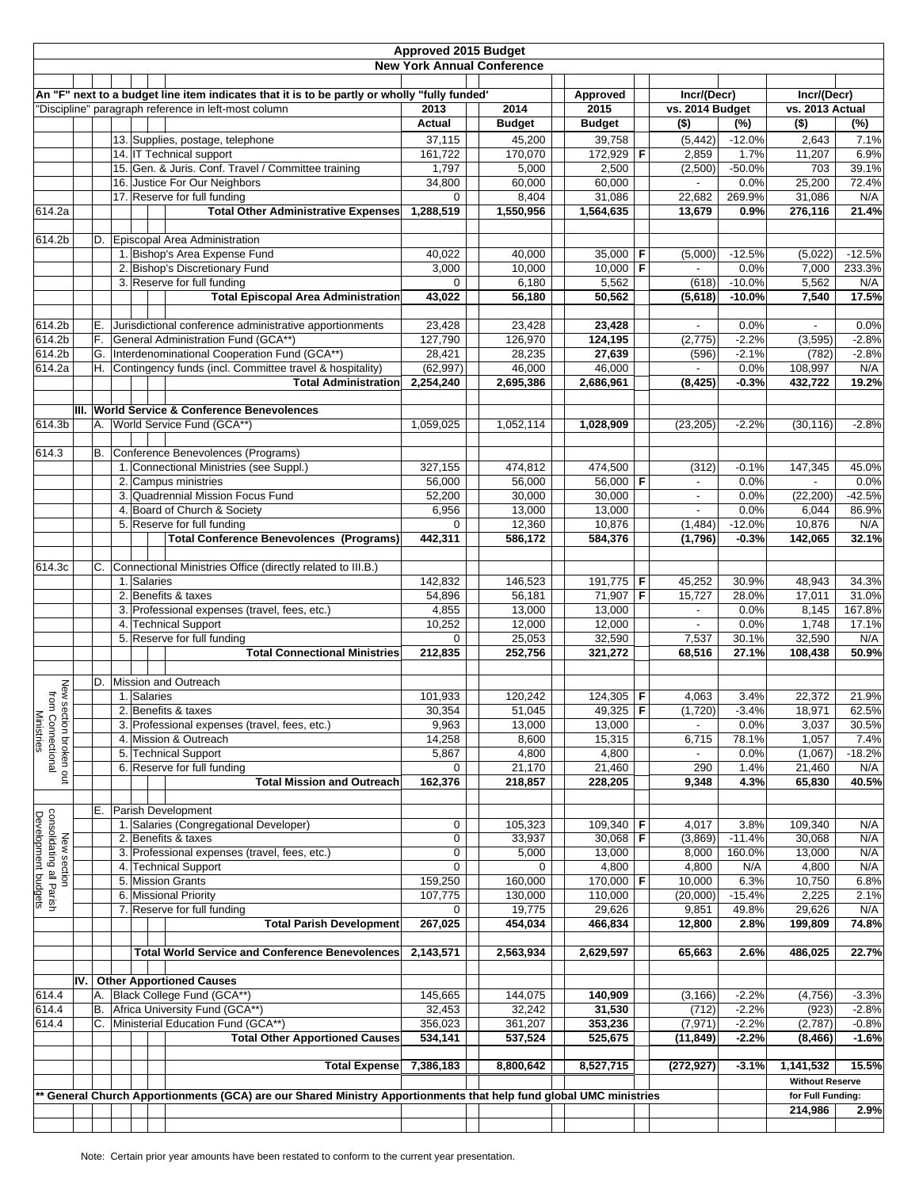| <b>Approved 2015 Budget</b>                                    |                                                                                              |    |  |                                                                                                                 |                                   |               |                      |             |                          |             |                        |          |
|----------------------------------------------------------------|----------------------------------------------------------------------------------------------|----|--|-----------------------------------------------------------------------------------------------------------------|-----------------------------------|---------------|----------------------|-------------|--------------------------|-------------|------------------------|----------|
|                                                                |                                                                                              |    |  |                                                                                                                 | <b>New York Annual Conference</b> |               |                      |             |                          |             |                        |          |
|                                                                |                                                                                              |    |  |                                                                                                                 |                                   |               |                      |             |                          |             |                        |          |
|                                                                | An "F" next to a budget line item indicates that it is to be partly or wholly "fully funded" |    |  | Approved                                                                                                        |                                   | Incr/(Decr)   |                      | Incr/(Decr) |                          |             |                        |          |
|                                                                | "Discipline" paragraph reference in left-most column                                         |    |  |                                                                                                                 | 2013                              | 2014          | 2015                 |             | vs. 2014 Budget          |             | vs. 2013 Actual        |          |
|                                                                |                                                                                              |    |  |                                                                                                                 | <b>Actual</b>                     | <b>Budget</b> | <b>Budget</b>        |             | $($ \$)                  | $(\%)$      | $($ \$)                | (%)      |
|                                                                |                                                                                              |    |  | 13. Supplies, postage, telephone                                                                                | 37,115                            | 45,200        | 39,758               |             | (5, 442)                 | $-12.0%$    | 2,643                  | 7.1%     |
|                                                                |                                                                                              |    |  | 14. IT Technical support                                                                                        | 161,722                           | 170,070       | 172,929 F            |             | 2,859                    | 1.7%        | 11,207                 | 6.9%     |
|                                                                |                                                                                              |    |  | 15. Gen. & Juris. Conf. Travel / Committee training                                                             | 1,797                             | 5,000         | 2,500                |             | (2,500)                  | $-50.0%$    | 703                    | 39.1%    |
|                                                                |                                                                                              |    |  | 16. Justice For Our Neighbors                                                                                   | 34,800                            | 60,000        | 60,000               |             | ÷,                       | 0.0%        | 25,200                 | 72.4%    |
|                                                                |                                                                                              |    |  | 17. Reserve for full funding                                                                                    | $\mathbf 0$                       | 8,404         | 31,086               |             | 22,682                   | 269.9%      | 31,086                 | N/A      |
| 614.2a                                                         |                                                                                              |    |  | <b>Total Other Administrative Expenses</b>                                                                      | 1,288,519                         | 1,550,956     | 1,564,635            |             | 13,679                   | 0.9%        | 276,116                | 21.4%    |
|                                                                |                                                                                              |    |  |                                                                                                                 |                                   |               |                      |             |                          |             |                        |          |
| 614.2b                                                         |                                                                                              |    |  | D. Episcopal Area Administration                                                                                |                                   |               |                      |             |                          |             |                        |          |
|                                                                |                                                                                              |    |  | 1. Bishop's Area Expense Fund                                                                                   | 40.022                            | 40,000        | 35,000   F           |             | (5,000)                  | $-12.5%$    | (5,022)                | $-12.5%$ |
|                                                                |                                                                                              |    |  | 2. Bishop's Discretionary Fund                                                                                  | 3,000                             | 10,000        | $10,000$ F           |             |                          | 0.0%        | 7,000                  | 233.3%   |
|                                                                |                                                                                              |    |  | 3. Reserve for full funding                                                                                     | 0                                 | 6,180         | 5,562                |             | (618)                    | $-10.0%$    | 5,562                  | N/A      |
|                                                                |                                                                                              |    |  | <b>Total Episcopal Area Administration</b>                                                                      | 43,022                            | 56,180        | 50,562               |             | (5,618)                  | $-10.0%$    | 7,540                  | 17.5%    |
|                                                                |                                                                                              |    |  |                                                                                                                 |                                   |               |                      |             |                          |             |                        |          |
| 614.2b                                                         |                                                                                              | Е. |  | Jurisdictional conference administrative apportionments                                                         | 23,428                            | 23,428        | 23,428               |             |                          | 0.0%        |                        | 0.0%     |
| 614.2b                                                         |                                                                                              | F. |  | General Administration Fund (GCA**)                                                                             | 127,790                           | 126,970       | 124,195              |             | (2,775)                  | $-2.2%$     | (3, 595)               | $-2.8%$  |
| 614.2b                                                         |                                                                                              |    |  | G. Interdenominational Cooperation Fund (GCA**)                                                                 | 28,421                            | 28,235        | 27,639               |             | (596)                    | $-2.1%$     | (782)                  | $-2.8%$  |
| 614.2a                                                         |                                                                                              |    |  | H. Contingency funds (incl. Committee travel & hospitality)                                                     | (62, 997)                         | 46,000        | 46,000               |             |                          | 0.0%        | 108,997                | N/A      |
|                                                                |                                                                                              |    |  | <b>Total Administration</b>                                                                                     | 2,254,240                         | 2,695,386     | 2,686,961            |             | (8, 425)                 | $-0.3%$     | 432,722                | 19.2%    |
|                                                                |                                                                                              |    |  |                                                                                                                 |                                   |               |                      |             |                          |             |                        |          |
|                                                                |                                                                                              |    |  | III. World Service & Conference Benevolences                                                                    |                                   |               |                      |             |                          |             |                        |          |
| 614.3b                                                         |                                                                                              |    |  | A. World Service Fund (GCA**)                                                                                   | 1,059,025                         | 1,052,114     | 1,028,909            |             | (23, 205)                | $-2.2%$     | (30, 116)              | $-2.8%$  |
|                                                                |                                                                                              |    |  |                                                                                                                 |                                   |               |                      |             |                          |             |                        |          |
| 614.3                                                          |                                                                                              | В. |  | Conference Benevolences (Programs)                                                                              |                                   |               |                      |             |                          |             |                        |          |
|                                                                |                                                                                              |    |  | 1. Connectional Ministries (see Suppl.)                                                                         | 327,155                           | 474,812       | 474,500              |             | (312)                    | $-0.1%$     | 147,345                | 45.0%    |
|                                                                |                                                                                              |    |  | 2. Campus ministries                                                                                            | 56,000                            | 56,000        | 56,000 F             |             | $\overline{\phantom{a}}$ | 0.0%        | $\mathbf{r}$           | 0.0%     |
|                                                                |                                                                                              |    |  | 3. Quadrennial Mission Focus Fund                                                                               | 52,200                            | 30,000        | 30,000               |             | $\overline{a}$           | 0.0%        | (22, 200)              | $-42.5%$ |
|                                                                |                                                                                              |    |  | 4. Board of Church & Society                                                                                    | 6,956                             | 13,000        | 13,000               |             |                          | 0.0%        | 6,044                  | 86.9%    |
|                                                                |                                                                                              |    |  | 5. Reserve for full funding                                                                                     | 0                                 | 12,360        | 10,876               |             | (1, 484)                 | $-12.0%$    | 10,876                 | N/A      |
|                                                                |                                                                                              |    |  | <b>Total Conference Benevolences (Programs)</b>                                                                 | 442,311                           | 586,172       | 584,376              |             | (1,796)                  | $-0.3%$     | 142,065                | 32.1%    |
|                                                                |                                                                                              |    |  |                                                                                                                 |                                   |               |                      |             |                          |             |                        |          |
| 614.3c                                                         |                                                                                              | C. |  | Connectional Ministries Office (directly related to III.B.)                                                     |                                   |               |                      |             |                          |             |                        |          |
|                                                                |                                                                                              |    |  | 1. Salaries                                                                                                     | 142,832                           | 146,523       | 191,775 F            |             | 45,252                   | 30.9%       | 48,943                 | 34.3%    |
|                                                                |                                                                                              |    |  | 2. Benefits & taxes                                                                                             | 54,896                            | 56,181        | 71,907 F             |             | 15,727                   | 28.0%       | 17,011                 | 31.0%    |
|                                                                |                                                                                              |    |  | 3. Professional expenses (travel, fees, etc.)                                                                   | 4,855                             | 13,000        | 13,000               |             |                          | 0.0%        | 8,145                  | 167.8%   |
|                                                                |                                                                                              |    |  | 4. Technical Support                                                                                            | 10,252                            | 12,000        | 12,000               |             | ٠                        | 0.0%        | 1,748                  | 17.1%    |
|                                                                |                                                                                              |    |  | 5. Reserve for full funding                                                                                     | 0                                 | 25,053        | 32,590               |             | 7,537                    | 30.1%       | 32,590                 | N/A      |
|                                                                |                                                                                              |    |  | <b>Total Connectional Ministries</b>                                                                            | 212,835                           | 252,756       | 321,272              |             | 68,516                   | 27.1%       | 108,438                | 50.9%    |
|                                                                |                                                                                              |    |  |                                                                                                                 |                                   |               |                      |             |                          |             |                        |          |
| New section broken out<br>from Connectional<br>Ministries      |                                                                                              |    |  | D. Mission and Outreach                                                                                         |                                   |               |                      |             |                          |             |                        |          |
|                                                                |                                                                                              |    |  | 1. Salaries                                                                                                     | 101,933                           | 120,242       | 124,305 F            |             | 4,063                    | 3.4%        | 22,372                 | 21.9%    |
|                                                                |                                                                                              |    |  | 2. Benefits & taxes                                                                                             | 30,354                            | 51,045        | 49,325 F             |             | (1,720)                  | $-3.4%$     | 18,971                 | 62.5%    |
|                                                                |                                                                                              |    |  | 3. Professional expenses (travel, fees, etc.)                                                                   | 9,963                             | 13,000        | 13,000               |             | $\overline{\phantom{a}}$ | 0.0%        | 3,037                  | 30.5%    |
|                                                                |                                                                                              |    |  | 4. Mission & Outreach                                                                                           | 14,258                            | 8,600         | 15,315               |             | 6,715                    | 78.1%       | 1,057                  | 7.4%     |
|                                                                |                                                                                              |    |  | 5. Technical Support                                                                                            | 5,867                             | 4,800         | 4,800                |             |                          | 0.0%        | (1,067)                | $-18.2%$ |
|                                                                |                                                                                              |    |  | 6. Reserve for full funding                                                                                     | 0                                 | 21,170        | 21,460               |             | 290                      | 1.4%        | 21,460                 | N/A      |
|                                                                |                                                                                              |    |  | <b>Total Mission and Outreach</b>                                                                               | 162,376                           | 218,857       | 228,205              |             | 9,348                    | 4.3%        | 65,830                 | 40.5%    |
|                                                                |                                                                                              |    |  |                                                                                                                 |                                   |               |                      |             |                          |             |                        |          |
| New section<br>consolidating all Parish<br>Development budgets |                                                                                              | Е. |  | Parish Development                                                                                              |                                   |               |                      |             |                          |             |                        |          |
|                                                                |                                                                                              |    |  | 1. Salaries (Congregational Developer)                                                                          | 0                                 | 105,323       | $109,340$ F          |             | 4,017                    | 3.8%        | 109,340                | N/A      |
|                                                                |                                                                                              |    |  | 2. Benefits & taxes                                                                                             | 0                                 | 33,937        | 30,068   <b>F</b>    |             | (3,869)                  | $-11.4%$    | 30,068                 | N/A      |
|                                                                |                                                                                              |    |  | 3. Professional expenses (travel, fees, etc.)                                                                   | 0                                 | 5,000         | 13,000               |             | 8,000                    | 160.0%      | 13,000                 | N/A      |
|                                                                |                                                                                              |    |  | 4. Technical Support<br>5. Mission Grants                                                                       | 0<br>159,250                      | 0             | 4,800<br>170,000 $F$ |             | 4,800                    | N/A<br>6.3% | 4,800<br>10,750        | N/A      |
|                                                                |                                                                                              |    |  |                                                                                                                 |                                   | 160,000       |                      |             | 10,000                   |             |                        | 6.8%     |
|                                                                |                                                                                              |    |  | 6. Missional Priority<br>7. Reserve for full funding                                                            | 107,775                           | 130,000       | 110,000              |             | (20,000)                 | $-15.4%$    | 2,225                  | 2.1%     |
|                                                                |                                                                                              |    |  |                                                                                                                 | 0                                 | 19,775        | 29,626               |             | 9,851                    | 49.8%       | 29,626                 | N/A      |
|                                                                |                                                                                              |    |  | <b>Total Parish Development</b>                                                                                 | 267,025                           | 454,034       | 466,834              |             | 12,800                   | 2.8%        | 199,809                | 74.8%    |
|                                                                |                                                                                              |    |  |                                                                                                                 |                                   |               |                      |             |                          |             |                        |          |
|                                                                |                                                                                              |    |  | <b>Total World Service and Conference Benevolences</b>                                                          | 2,143,571                         | 2,563,934     | 2,629,597            |             | 65,663                   | 2.6%        | 486,025                | 22.7%    |
|                                                                | IV.                                                                                          |    |  | <b>Other Apportioned Causes</b>                                                                                 |                                   |               |                      |             |                          |             |                        |          |
| 614.4                                                          |                                                                                              |    |  | A. Black College Fund (GCA**)                                                                                   |                                   | 144,075       | 140,909              |             |                          | $-2.2%$     |                        | $-3.3%$  |
| 614.4                                                          |                                                                                              |    |  | B. Africa University Fund (GCA**)                                                                               | 145,665<br>32,453                 | 32,242        |                      |             | (3, 166)                 | $-2.2%$     | (4,756)                | $-2.8%$  |
| 614.4                                                          |                                                                                              |    |  | C. Ministerial Education Fund (GCA**)                                                                           | 356,023                           |               | 31,530               |             | (712)                    | $-2.2%$     | (923)                  |          |
|                                                                |                                                                                              |    |  | <b>Total Other Apportioned Causes</b>                                                                           |                                   | 361,207       | 353,236              |             | (7, 971)                 | $-2.2%$     | (2,787)                | $-0.8%$  |
|                                                                |                                                                                              |    |  |                                                                                                                 | 534,141                           | 537,524       | 525,675              |             | (11, 849)                |             | (8, 466)               | $-1.6%$  |
|                                                                |                                                                                              |    |  | <b>Total Expense</b>                                                                                            | 7,386,183                         | 8,800,642     | 8,527,715            |             | (272, 927)               | $-3.1%$     | 1,141,532              | 15.5%    |
|                                                                |                                                                                              |    |  |                                                                                                                 |                                   |               |                      |             |                          |             | <b>Without Reserve</b> |          |
|                                                                |                                                                                              |    |  |                                                                                                                 |                                   |               |                      |             |                          |             |                        |          |
|                                                                |                                                                                              |    |  | General Church Apportionments (GCA) are our Shared Ministry Apportionments that help fund global UMC ministries |                                   |               |                      |             |                          |             | for Full Funding:      |          |
|                                                                |                                                                                              |    |  |                                                                                                                 |                                   |               |                      |             |                          |             | 214,986                | 2.9%     |
|                                                                |                                                                                              |    |  |                                                                                                                 |                                   |               |                      |             |                          |             |                        |          |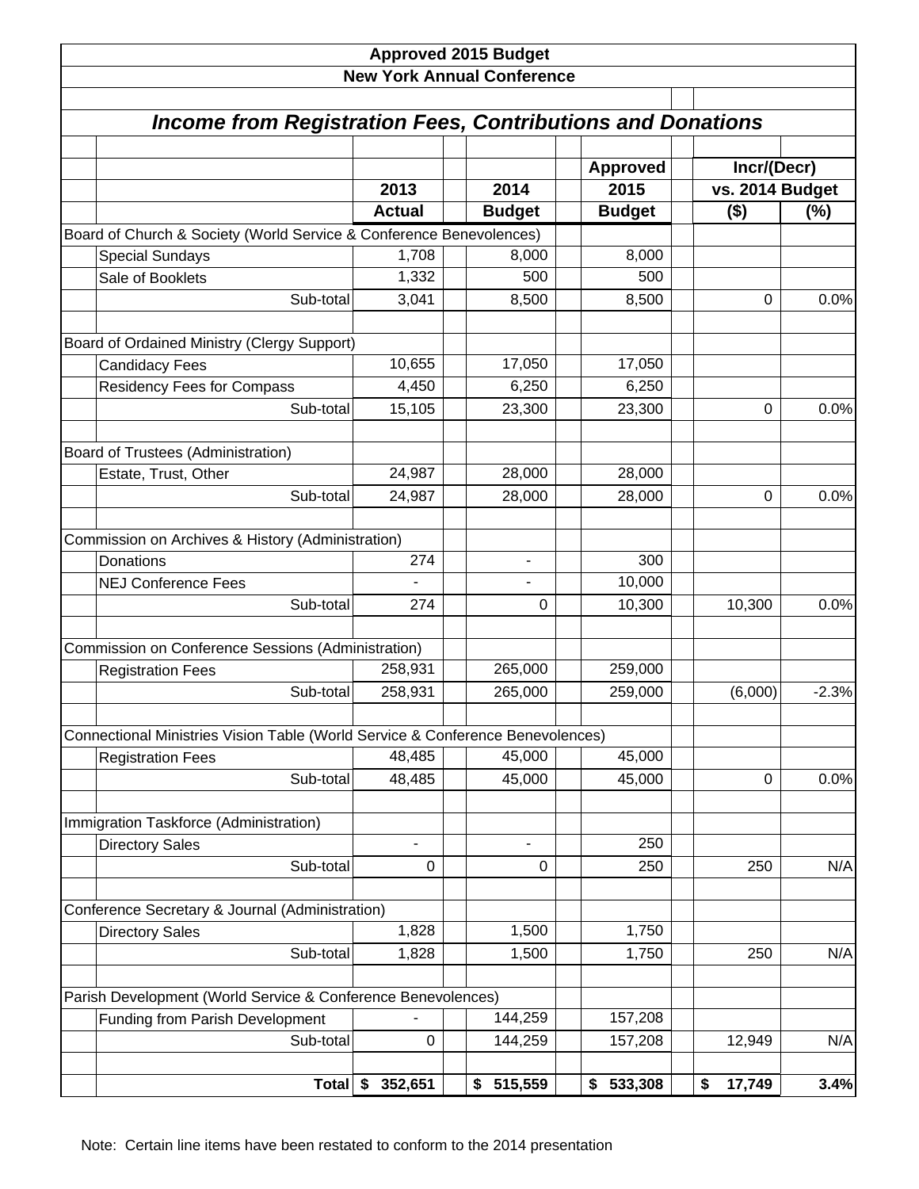|                                                                                |                       | <b>Approved 2015 Budget</b><br><b>New York Annual Conference</b> |                         |                            |             |  |  |
|--------------------------------------------------------------------------------|-----------------------|------------------------------------------------------------------|-------------------------|----------------------------|-------------|--|--|
| <b>Income from Registration Fees, Contributions and Donations</b>              |                       |                                                                  |                         |                            |             |  |  |
|                                                                                |                       | 2014                                                             | <b>Approved</b><br>2015 |                            | Incr/(Decr) |  |  |
|                                                                                | 2013<br><b>Actual</b> | <b>Budget</b>                                                    | <b>Budget</b>           | vs. 2014 Budget<br>$($ \$) | (%)         |  |  |
| Board of Church & Society (World Service & Conference Benevolences)            |                       |                                                                  |                         |                            |             |  |  |
| <b>Special Sundays</b>                                                         | 1,708                 | 8,000                                                            | 8,000                   |                            |             |  |  |
| Sale of Booklets                                                               | 1,332                 | 500                                                              | 500                     |                            |             |  |  |
| Sub-total                                                                      | 3,041                 | 8,500                                                            | 8,500                   | 0                          | 0.0%        |  |  |
|                                                                                |                       |                                                                  |                         |                            |             |  |  |
| Board of Ordained Ministry (Clergy Support)                                    |                       |                                                                  |                         |                            |             |  |  |
| <b>Candidacy Fees</b>                                                          | 10,655                | 17,050                                                           | 17,050                  |                            |             |  |  |
| <b>Residency Fees for Compass</b>                                              | 4,450                 | 6,250                                                            | 6,250                   |                            |             |  |  |
| Sub-total                                                                      | 15,105                | 23,300                                                           | 23,300                  | 0                          | 0.0%        |  |  |
| Board of Trustees (Administration)                                             |                       |                                                                  |                         |                            |             |  |  |
| Estate, Trust, Other                                                           | 24,987                | 28,000                                                           | 28,000                  |                            |             |  |  |
| Sub-total                                                                      | 24,987                | 28,000                                                           | 28,000                  | 0                          | 0.0%        |  |  |
|                                                                                |                       |                                                                  |                         |                            |             |  |  |
| Commission on Archives & History (Administration)                              |                       |                                                                  |                         |                            |             |  |  |
| Donations                                                                      | 274                   | $\blacksquare$                                                   | 300                     |                            |             |  |  |
| <b>NEJ Conference Fees</b>                                                     |                       |                                                                  | 10,000                  |                            |             |  |  |
| Sub-total                                                                      | 274                   | $\Omega$                                                         | 10,300                  | 10,300                     | 0.0%        |  |  |
|                                                                                |                       |                                                                  |                         |                            |             |  |  |
| Commission on Conference Sessions (Administration)                             |                       |                                                                  |                         |                            |             |  |  |
| <b>Registration Fees</b>                                                       | 258,931               | 265,000                                                          | 259,000                 |                            |             |  |  |
| Sub-total                                                                      | 258,931               | 265,000                                                          | 259,000                 | (6,000)                    | $-2.3%$     |  |  |
| Connectional Ministries Vision Table (World Service & Conference Benevolences) |                       |                                                                  |                         |                            |             |  |  |
| <b>Registration Fees</b>                                                       | 48,485                | 45,000                                                           | 45,000                  |                            |             |  |  |
| Sub-total                                                                      | 48,485                | 45,000                                                           | 45,000                  | 0                          | 0.0%        |  |  |
|                                                                                |                       |                                                                  |                         |                            |             |  |  |
| Immigration Taskforce (Administration)                                         |                       |                                                                  |                         |                            |             |  |  |
| <b>Directory Sales</b>                                                         |                       |                                                                  | 250                     |                            |             |  |  |
| Sub-total                                                                      | 0                     | 0                                                                | 250                     | 250                        | N/A         |  |  |
|                                                                                |                       |                                                                  |                         |                            |             |  |  |
| Conference Secretary & Journal (Administration)                                |                       |                                                                  |                         |                            |             |  |  |
| <b>Directory Sales</b>                                                         | 1,828                 | 1,500                                                            | 1,750                   |                            |             |  |  |
| Sub-total                                                                      | 1,828                 | 1,500                                                            | 1,750                   | 250                        | N/A         |  |  |
| Parish Development (World Service & Conference Benevolences)                   |                       |                                                                  |                         |                            |             |  |  |
| <b>Funding from Parish Development</b>                                         |                       | 144,259                                                          | 157,208                 |                            |             |  |  |
| Sub-total                                                                      | $\mathbf 0$           | 144,259                                                          | 157,208                 | 12,949                     | N/A         |  |  |
|                                                                                |                       |                                                                  |                         |                            |             |  |  |
| <b>Total</b>                                                                   | \$<br>352,651         | 515,559<br>\$                                                    | 533,308<br>\$           | \$<br>17,749               | 3.4%        |  |  |